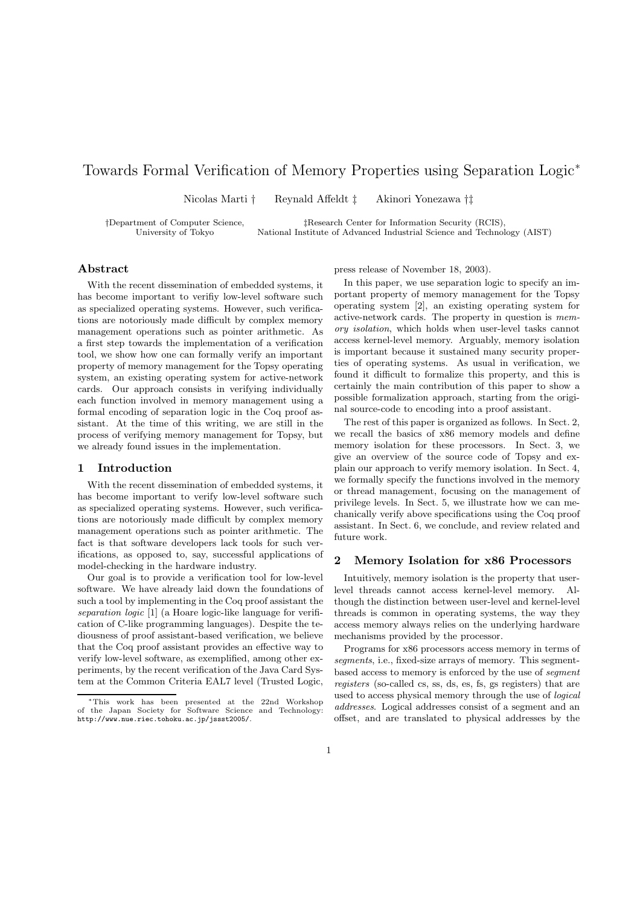# Towards Formal Verification of Memory Properties using Separation Logic<sup>∗</sup>

Nicolas Marti † Reynald Affeldt ‡ Akinori Yonezawa †‡

†Department of Computer Science, ‡Research Center for Information Security (RCIS), National Institute of Advanced Industrial Science and Technology (AIST)

## Abstract

With the recent dissemination of embedded systems, it has become important to verifiy low-level software such as specialized operating systems. However, such verifications are notoriously made difficult by complex memory management operations such as pointer arithmetic. As a first step towards the implementation of a verification tool, we show how one can formally verify an important property of memory management for the Topsy operating system, an existing operating system for active-network cards. Our approach consists in verifying individually each function involved in memory management using a formal encoding of separation logic in the Coq proof assistant. At the time of this writing, we are still in the process of verifying memory management for Topsy, but we already found issues in the implementation.

## 1 Introduction

With the recent dissemination of embedded systems, it has become important to verify low-level software such as specialized operating systems. However, such verifications are notoriously made difficult by complex memory management operations such as pointer arithmetic. The fact is that software developers lack tools for such verifications, as opposed to, say, successful applications of model-checking in the hardware industry.

Our goal is to provide a verification tool for low-level software. We have already laid down the foundations of such a tool by implementing in the Coq proof assistant the separation logic [1] (a Hoare logic-like language for verification of C-like programming languages). Despite the tediousness of proof assistant-based verification, we believe that the Coq proof assistant provides an effective way to verify low-level software, as exemplified, among other experiments, by the recent verification of the Java Card System at the Common Criteria EAL7 level (Trusted Logic, press release of November 18, 2003).

In this paper, we use separation logic to specify an important property of memory management for the Topsy operating system [2], an existing operating system for active-network cards. The property in question is memory isolation, which holds when user-level tasks cannot access kernel-level memory. Arguably, memory isolation is important because it sustained many security properties of operating systems. As usual in verification, we found it difficult to formalize this property, and this is certainly the main contribution of this paper to show a possible formalization approach, starting from the original source-code to encoding into a proof assistant.

The rest of this paper is organized as follows. In Sect. 2, we recall the basics of x86 memory models and define memory isolation for these processors. In Sect. 3, we give an overview of the source code of Topsy and explain our approach to verify memory isolation. In Sect. 4, we formally specify the functions involved in the memory or thread management, focusing on the management of privilege levels. In Sect. 5, we illustrate how we can mechanically verify above specifications using the Coq proof assistant. In Sect. 6, we conclude, and review related and future work.

## 2 Memory Isolation for x86 Processors

Intuitively, memory isolation is the property that userlevel threads cannot access kernel-level memory. Although the distinction between user-level and kernel-level threads is common in operating systems, the way they access memory always relies on the underlying hardware mechanisms provided by the processor.

Programs for x86 processors access memory in terms of segments, i.e., fixed-size arrays of memory. This segmentbased access to memory is enforced by the use of segment registers (so-called cs, ss, ds, es, fs, gs registers) that are used to access physical memory through the use of logical addresses. Logical addresses consist of a segment and an offset, and are translated to physical addresses by the

<sup>∗</sup>This work has been presented at the 22nd Workshop of the Japan Society for Software Science and Technology: http://www.nue.riec.tohoku.ac.jp/jssst2005/.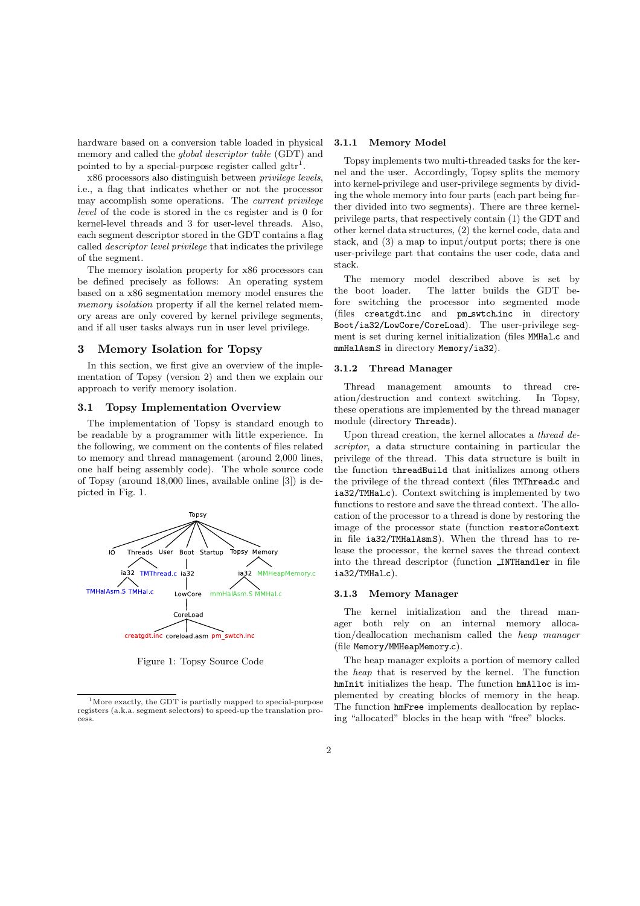hardware based on a conversion table loaded in physical memory and called the global descriptor table (GDT) and pointed to by a special-purpose register called  $gdr<sup>1</sup>$ .

x86 processors also distinguish between privilege levels, i.e., a flag that indicates whether or not the processor may accomplish some operations. The current privilege level of the code is stored in the cs register and is 0 for kernel-level threads and 3 for user-level threads. Also, each segment descriptor stored in the GDT contains a flag called descriptor level privilege that indicates the privilege of the segment.

The memory isolation property for x86 processors can be defined precisely as follows: An operating system based on a x86 segmentation memory model ensures the memory isolation property if all the kernel related memory areas are only covered by kernel privilege segments, and if all user tasks always run in user level privilege.

#### 3 Memory Isolation for Topsy

In this section, we first give an overview of the implementation of Topsy (version 2) and then we explain our approach to verify memory isolation.

### 3.1 Topsy Implementation Overview

The implementation of Topsy is standard enough to be readable by a programmer with little experience. In the following, we comment on the contents of files related to memory and thread management (around 2,000 lines, one half being assembly code). The whole source code of Topsy (around 18,000 lines, available online [3]) is depicted in Fig. 1.



Figure 1: Topsy Source Code

#### 3.1.1 Memory Model

Topsy implements two multi-threaded tasks for the kernel and the user. Accordingly, Topsy splits the memory into kernel-privilege and user-privilege segments by dividing the whole memory into four parts (each part being further divided into two segments). There are three kernelprivilege parts, that respectively contain (1) the GDT and other kernel data structures, (2) the kernel code, data and stack, and (3) a map to input/output ports; there is one user-privilege part that contains the user code, data and stack.

The memory model described above is set by the boot loader. The latter builds the GDT before switching the processor into segmented mode (files creatgdt.inc and pm swtch.inc in directory Boot/ia32/LowCore/CoreLoad). The user-privilege segment is set during kernel initialization (files MMHal.c and mmHalAsm.S in directory Memory/ia32).

#### 3.1.2 Thread Manager

Thread management amounts to thread creation/destruction and context switching. In Topsy, these operations are implemented by the thread manager module (directory Threads).

Upon thread creation, the kernel allocates a *thread de*scriptor, a data structure containing in particular the privilege of the thread. This data structure is built in the function threadBuild that initializes among others the privilege of the thread context (files TMThread.c and ia32/TMHal.c). Context switching is implemented by two functions to restore and save the thread context. The allocation of the processor to a thread is done by restoring the image of the processor state (function restoreContext in file ia32/TMHalAsm.S). When the thread has to release the processor, the kernel saves the thread context into the thread descriptor (function INTHandler in file ia32/TMHal.c).

#### 3.1.3 Memory Manager

The kernel initialization and the thread manager both rely on an internal memory allocation/deallocation mechanism called the heap manager (file Memory/MMHeapMemory.c).

The heap manager exploits a portion of memory called the heap that is reserved by the kernel. The function hmInit initializes the heap. The function hmAlloc is implemented by creating blocks of memory in the heap. The function hmFree implements deallocation by replacing "allocated" blocks in the heap with "free" blocks.

 $1<sup>1</sup>$ More exactly, the GDT is partially mapped to special-purpose registers (a.k.a. segment selectors) to speed-up the translation process.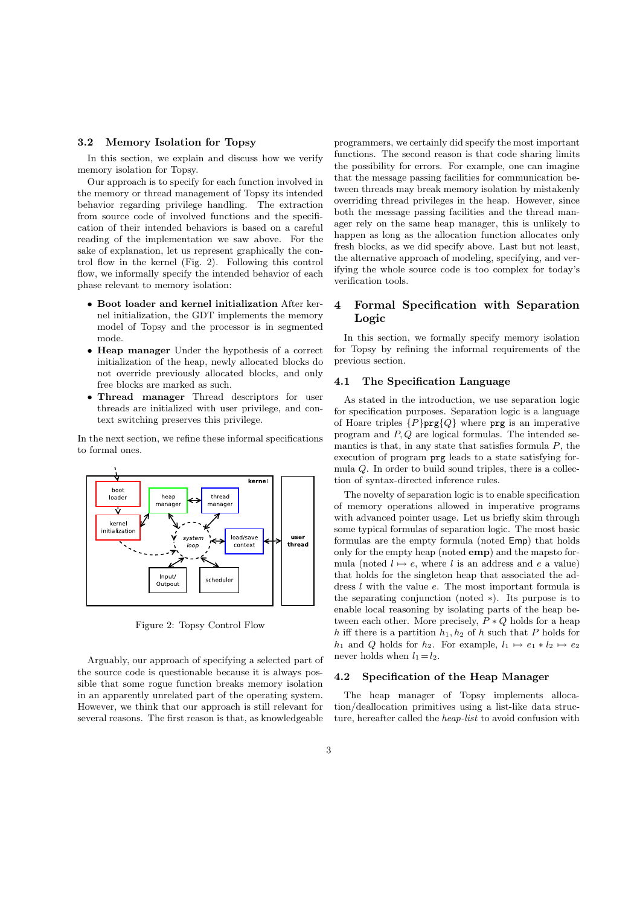### 3.2 Memory Isolation for Topsy

In this section, we explain and discuss how we verify memory isolation for Topsy.

Our approach is to specify for each function involved in the memory or thread management of Topsy its intended behavior regarding privilege handling. The extraction from source code of involved functions and the specification of their intended behaviors is based on a careful reading of the implementation we saw above. For the sake of explanation, let us represent graphically the control flow in the kernel (Fig. 2). Following this control flow, we informally specify the intended behavior of each phase relevant to memory isolation:

- Boot loader and kernel initialization After kernel initialization, the GDT implements the memory model of Topsy and the processor is in segmented mode.
- Heap manager Under the hypothesis of a correct initialization of the heap, newly allocated blocks do not override previously allocated blocks, and only free blocks are marked as such.
- Thread manager Thread descriptors for user threads are initialized with user privilege, and context switching preserves this privilege.

In the next section, we refine these informal specifications to formal ones.



Figure 2: Topsy Control Flow

Arguably, our approach of specifying a selected part of the source code is questionable because it is always possible that some rogue function breaks memory isolation in an apparently unrelated part of the operating system. However, we think that our approach is still relevant for several reasons. The first reason is that, as knowledgeable

programmers, we certainly did specify the most important functions. The second reason is that code sharing limits the possibility for errors. For example, one can imagine that the message passing facilities for communication between threads may break memory isolation by mistakenly overriding thread privileges in the heap. However, since both the message passing facilities and the thread manager rely on the same heap manager, this is unlikely to happen as long as the allocation function allocates only fresh blocks, as we did specify above. Last but not least, the alternative approach of modeling, specifying, and verifying the whole source code is too complex for today's verification tools.

## 4 Formal Specification with Separation Logic

In this section, we formally specify memory isolation for Topsy by refining the informal requirements of the previous section.

### 4.1 The Specification Language

As stated in the introduction, we use separation logic for specification purposes. Separation logic is a language of Hoare triples  $\{P\}$ prg $\{Q\}$  where prg is an imperative program and P, Q are logical formulas. The intended semantics is that, in any state that satisfies formula  $P$ , the execution of program prg leads to a state satisfying formula Q. In order to build sound triples, there is a collection of syntax-directed inference rules.

The novelty of separation logic is to enable specification of memory operations allowed in imperative programs with advanced pointer usage. Let us briefly skim through some typical formulas of separation logic. The most basic formulas are the empty formula (noted Emp) that holds only for the empty heap (noted emp) and the mapsto formula (noted  $l \mapsto e$ , where l is an address and e a value) that holds for the singleton heap that associated the address l with the value e. The most important formula is the separating conjunction (noted ∗). Its purpose is to enable local reasoning by isolating parts of the heap between each other. More precisely,  $P * Q$  holds for a heap h iff there is a partition  $h_1, h_2$  of h such that P holds for  $h_1$  and Q holds for  $h_2$ . For example,  $l_1 \mapsto e_1 * l_2 \mapsto e_2$ never holds when  $l_1 = l_2$ .

#### 4.2 Specification of the Heap Manager

The heap manager of Topsy implements allocation/deallocation primitives using a list-like data structure, hereafter called the heap-list to avoid confusion with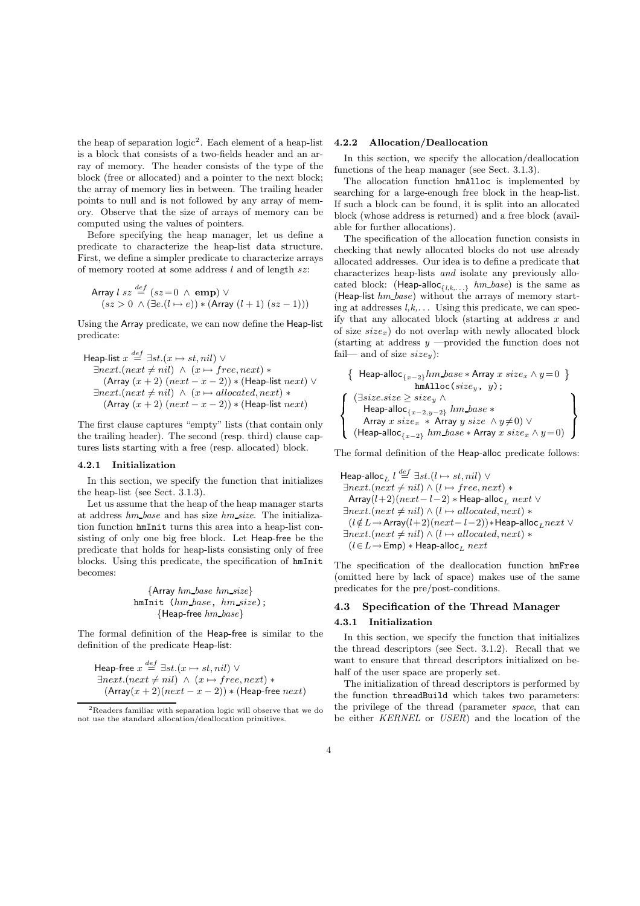the heap of separation  $logic^2$ . Each element of a heap-list is a block that consists of a two-fields header and an array of memory. The header consists of the type of the block (free or allocated) and a pointer to the next block; the array of memory lies in between. The trailing header points to null and is not followed by any array of memory. Observe that the size of arrays of memory can be computed using the values of pointers.

Before specifying the heap manager, let us define a predicate to characterize the heap-list data structure. First, we define a simpler predicate to characterize arrays of memory rooted at some address  $l$  and of length  $sz$ :

$$
\begin{array}{c}\n\text{Array } l \text{ } sz \stackrel{\text{def}}{=} (sz = 0 \ \land \ \text{emp}) \ \lor \\
\text{(} sz > 0 \ \land \ (\exists e. (l \mapsto e)) * (\text{Array } (l+1) \ (sz - 1)))\n\end{array}
$$

Using the Array predicate, we can now define the Heap-list predicate:

$$
\mathsf{Heap-list}\; x \stackrel{def}{=} \exists st. (x \mapsto st, nil) \vee \exists next. (next \neq nil) \wedge (x \mapsto free, next) * \n(\mathsf{Array}\; (x + 2) \; (next - x - 2)) * (\mathsf{Heap-list}\; next) \vee \exists next. (next \neq nil) \wedge (x \mapsto allocated, next) * \n(\mathsf{Array}\; (x + 2) \; (next - x - 2)) * (\mathsf{Heap-list}\; next)
$$

The first clause captures "empty" lists (that contain only the trailing header). The second (resp. third) clause captures lists starting with a free (resp. allocated) block.

#### 4.2.1 Initialization

In this section, we specify the function that initializes the heap-list (see Sect. 3.1.3).

Let us assume that the heap of the heap manager starts at address hm base and has size hm size. The initialization function hmInit turns this area into a heap-list consisting of only one big free block. Let Heap-free be the predicate that holds for heap-lists consisting only of free blocks. Using this predicate, the specification of hmInit becomes:

> {Array hm base hm size} hmInit (hm base, hm size); {Heap-free hm base}

The formal definition of the Heap-free is similar to the definition of the predicate Heap-list:

Heap-free  $x \stackrel{def}{=} \exists st.(x \mapsto st, nil) \vee$  $\exists next.(next \neq nil) \land (x \mapsto free, next) *$  $(\text{Array}(x + 2)(next - x - 2)) * (\text{Heap-free} next)$ 

#### 4.2.2 Allocation/Deallocation

In this section, we specify the allocation/deallocation functions of the heap manager (see Sect. 3.1.3).

The allocation function hmAlloc is implemented by searching for a large-enough free block in the heap-list. If such a block can be found, it is split into an allocated block (whose address is returned) and a free block (available for further allocations).

The specification of the allocation function consists in checking that newly allocated blocks do not use already allocated addresses. Our idea is to define a predicate that characterizes heap-lists and isolate any previously allocated block: (Heap-alloc $_{\{l,k,\ldots\}}$  hm base) is the same as (Heap-list  $hm\_base$ ) without the arrays of memory starting at addresses  $l, k, \ldots$  Using this predicate, we can specify that any allocated block (starting at address  $x$  and of size  $size_x$ ) do not overlap with newly allocated block (starting at address  $y$  —provided the function does not fail— and of size  $size_y$ ):

$$
\left\{\begin{array}{l}\n\left\{\begin{array}{l}\n\text{Heap-alloc}_{\{x-2\}}\hbar m\_base * \text{Array } x \text{ size}_x \land y=0 \\
\text{hmAlloc}(size_y, y);\n\end{array}\right. \\
\left\{\begin{array}{l}\n(\exists size.size \geq size_y \land \\
\text{Heap-alloc}_{\{x-2,y-2\}}\hbar m\_base * \\
\text{Array } x \text{ size}_x * \text{Array } y \text{ size } \land y \neq 0)\lor \\
(\text{Heap-alloc}_{\{x-2\}}\hbar m\_base * \text{Array } x \text{ size}_x \land y=0)\n\end{array}\right\}
$$

The formal definition of the Heap-alloc predicate follows:

```
Heap-alloc_L l \stackrel{def}{=} \exists st. (l \mapsto st, nil) \; \forall\exists next.(next \neq nil) \land (l \mapsto free, next) *Array(l+2)(next-l-2)* Heap-alloc<sub>L</sub> next ∨
\exists next.(next \neq nil) \land (l \mapsto allocated, next) *(l \notin L \rightarrow Array(l+2)(next-l-2))∗Heap-alloc<sub>r</sub> next ∨
\exists next.(next \neq nil) \land (l \mapsto allocated, next) *(l \in L \rightarrow Emp) * Heap-alloc<sub>L</sub> next
```
The specification of the deallocation function hmFree (omitted here by lack of space) makes use of the same predicates for the pre/post-conditions.

## 4.3 Specification of the Thread Manager 4.3.1 Initialization

In this section, we specify the function that initializes the thread descriptors (see Sect. 3.1.2). Recall that we want to ensure that thread descriptors initialized on behalf of the user space are properly set.

The initialization of thread descriptors is performed by the function threadBuild which takes two parameters: the privilege of the thread (parameter space, that can be either KERNEL or USER) and the location of the

<sup>2</sup>Readers familiar with separation logic will observe that we do not use the standard allocation/deallocation primitives.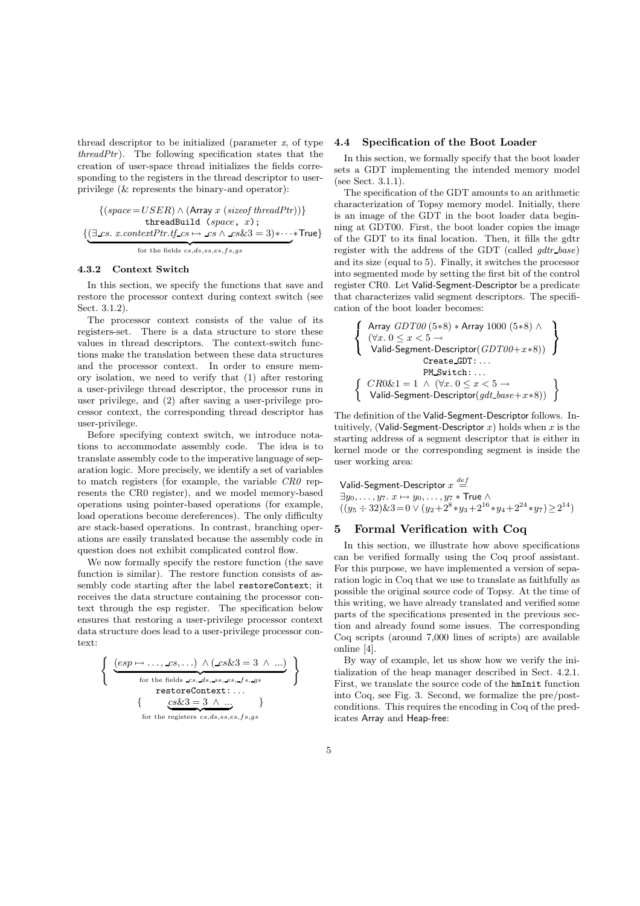thread descriptor to be initialized (parameter  $x$ , of type  $threadPtr)$ . The following specification states that the creation of user-space thread initializes the fields corresponding to the registers in the thread descriptor to userprivilege (& represents the binary-and operator):

$$
\{ (space=USER) \land (Array \ x \ (size of \ threadPtr)) \} \qquad \text{threadBuild} \ (space, \ x);
$$
\n
$$
\{ (\exists \text{cs. } x \text{.contextPtr.tf\_cs} \rightarrow \text{cs} \land \text{cs&3} = 3) * \cdots * \text{True} \} \qquad \text{for} \\\text{for the fields } \text{cs,} \text{ds,} \text{ss,} \text{es,} \text{cs,} \text{fs,} \text{gs} \qquad \text{True}
$$

#### 4.3.2 Context Switch

In this section, we specify the functions that save and restore the processor context during context switch (see Sect. 3.1.2).

The processor context consists of the value of its registers-set. There is a data structure to store these values in thread descriptors. The context-switch functions make the translation between these data structures and the processor context. In order to ensure memory isolation, we need to verify that (1) after restoring a user-privilege thread descriptor, the processor runs in user privilege, and (2) after saving a user-privilege processor context, the corresponding thread descriptor has user-privilege.

Before specifying context switch, we introduce notations to accommodate assembly code. The idea is to translate assembly code to the imperative language of separation logic. More precisely, we identify a set of variables to match registers (for example, the variable CR0 represents the CR0 register), and we model memory-based operations using pointer-based operations (for example, load operations become dereferences). The only difficulty are stack-based operations. In contrast, branching operations are easily translated because the assembly code in question does not exhibit complicated control flow.

We now formally specify the restore function (the save function is similar). The restore function consists of assembly code starting after the label restoreContext; it receives the data structure containing the processor context through the esp register. The specification below ensures that restoring a user-privilege processor context data structure does lead to a user-privilege processor context:

$$
\left\{\n\begin{array}{c}\n\left(\underbrace{esp \mapsto \dots, \text{c.s}, \dots} \land (\text{c.s} \& 3 = 3 \land \dots)}_{\text{for the fields } \text{c.s}, \text{d.s}, \text{c.s}, \text{d.s}, \text{c.s}, \text{d.s}}\n\end{array}\n\right\}\n\right\}\n\text{trial}\n\left\{\n\begin{array}{c}\n\text{Firs} \\
\text{restoreContext}: \dots \\
\text{for the registers } \text{c.s}, \text{d.s}, \text{s.s}, \text{e.s}, \text{f.s}, \text{g s} \\
\text{for the registers } \text{c.s}, \text{d.s}, \text{s.s}, \text{e.s}, \text{f.s}, \text{g s} \\
\text{icat}\n\end{array}\n\right\}
$$

### 4.4 Specification of the Boot Loader

In this section, we formally specify that the boot loader sets a GDT implementing the intended memory model (see Sect. 3.1.1).

The specification of the GDT amounts to an arithmetic characterization of Topsy memory model. Initially, there is an image of the GDT in the boot loader data beginning at GDT00. First, the boot loader copies the image of the GDT to its final location. Then, it fills the gdtr register with the address of the GDT (called  $qdt$  base) and its size (equal to 5). Finally, it switches the processor into segmented mode by setting the first bit of the control register CR0. Let Valid-Segment-Descriptor be a predicate that characterizes valid segment descriptors. The specification of the boot loader becomes:

$$
\left\{\begin{array}{l}\text{Array } GDT00 (5*8)*Array 1000 (5*8) \land \newline (\forall x. 0 \leq x < 5 \rightarrow \newline \text{Valid-Segment-Descriptor}(GDT00+x*8))\\ \text{Create_GDT}: \dots\\ \text{PM\_Switch}: \dots\\ \left\{\begin{array}{l} CR0 \& 1 = 1 \land (\forall x. 0 \leq x < 5 \rightarrow \newline \text{Valid-Segment-Descriptor}(gdt\_base + x*8))\end{array}\right\}
$$

The definition of the Valid-Segment-Descriptor follows. Intuitively, (Valid-Segment-Descriptor  $x$ ) holds when  $x$  is the starting address of a segment descriptor that is either in kernel mode or the corresponding segment is inside the user working area:

Valid-Segment-Description 
$$
x \stackrel{def}{=} \exists y_0, \ldots, y_7. x \mapsto y_0, \ldots, y_7 * \text{True } \wedge
$$
  
 $((y_5 \div 32) \& 3 = 0 \vee (y_2 + 2^8 * y_3 + 2^{16} * y_4 + 2^{24} * y_7) \ge 2^{14})$ 

## 5 Formal Verification with Coq

In this section, we illustrate how above specifications can be verified formally using the Coq proof assistant. For this purpose, we have implemented a version of separation logic in Coq that we use to translate as faithfully as possible the original source code of Topsy. At the time of this writing, we have already translated and verified some parts of the specifications presented in the previous section and already found some issues. The corresponding Coq scripts (around 7,000 lines of scripts) are available online [4].

By way of example, let us show how we verify the initialization of the heap manager described in Sect. 4.2.1. First, we translate the source code of the hmInit function into Coq, see Fig. 3. Second, we formalize the pre/postconditions. This requires the encoding in Coq of the predicates Array and Heap-free: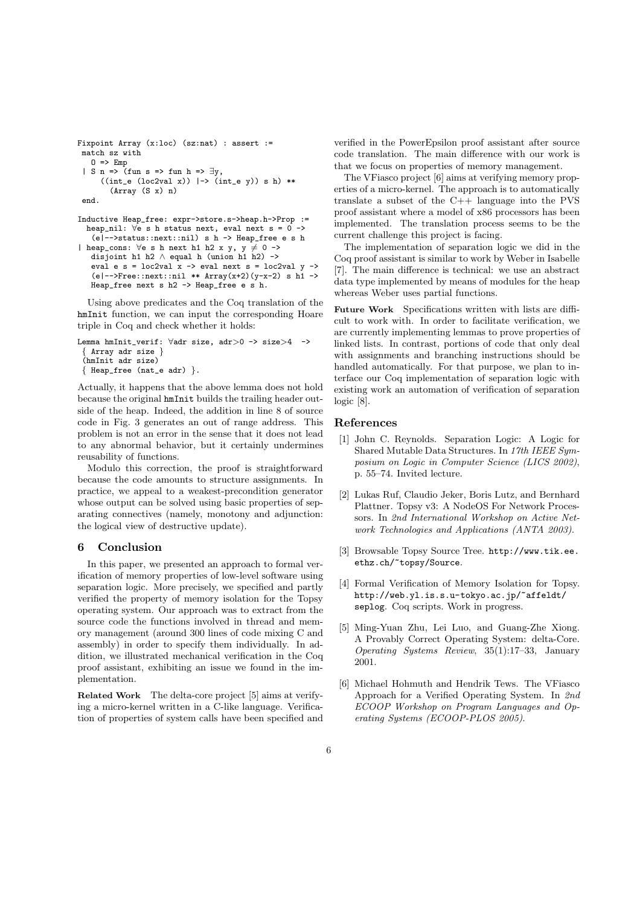```
Fixpoint Array (x:loc) (sz:nat) : assert :=
 match sz with
   0 \Rightarrow Emp| S n => (fun s => fun h => \exists y,
      ((int_e (loc2val x)) \rightarrow (int_e y)) s h **
        (Array (S x) n)
 end.
```

```
Inductive Heap_free: expr->store.s->heap.h->Prop :=
  heap_nil: \forall e \text{ s} h status next, eval next s = 0 ->
   (e|-->status::next::nil) s h -> Heap_free e s h
| heap_cons: \foralle s h next h1 h2 x y, y \neq 0 ->
   disjoint h1 h2 \land equal h (union h1 h2) ->
   eval e s = loc2val x -> eval next s = loc2val y ->
```

```
(e|--\rangleFree::next::nil ** Array(x+2)(y-x-2) s h1 ->
Heap_free next s h2 -> Heap_free e s h.
```
Using above predicates and the Coq translation of the hmInit function, we can input the corresponding Hoare triple in Coq and check whether it holds:

```
Lemma hmInit_verif: ∀adr size, adr>0 -> size>4 ->
  Array adr size }
 (hmInit adr size)
 { Heap_free (nat_e adr) }.
```
Actually, it happens that the above lemma does not hold because the original hmInit builds the trailing header outside of the heap. Indeed, the addition in line 8 of source code in Fig. 3 generates an out of range address. This problem is not an error in the sense that it does not lead to any abnormal behavior, but it certainly undermines reusability of functions.

Modulo this correction, the proof is straightforward because the code amounts to structure assignments. In practice, we appeal to a weakest-precondition generator whose output can be solved using basic properties of separating connectives (namely, monotony and adjunction: the logical view of destructive update).

#### 6 Conclusion

In this paper, we presented an approach to formal verification of memory properties of low-level software using separation logic. More precisely, we specified and partly verified the property of memory isolation for the Topsy operating system. Our approach was to extract from the source code the functions involved in thread and memory management (around 300 lines of code mixing C and assembly) in order to specify them individually. In addition, we illustrated mechanical verification in the Coq proof assistant, exhibiting an issue we found in the implementation.

Related Work The delta-core project [5] aims at verifying a micro-kernel written in a C-like language. Verification of properties of system calls have been specified and

verified in the PowerEpsilon proof assistant after source code translation. The main difference with our work is that we focus on properties of memory management.

The VFiasco project [6] aims at verifying memory properties of a micro-kernel. The approach is to automatically translate a subset of the C++ language into the PVS proof assistant where a model of x86 processors has been implemented. The translation process seems to be the current challenge this project is facing.

The implementation of separation logic we did in the Coq proof assistant is similar to work by Weber in Isabelle [7]. The main difference is technical: we use an abstract data type implemented by means of modules for the heap whereas Weber uses partial functions.

Future Work Specifications written with lists are difficult to work with. In order to facilitate verification, we are currently implementing lemmas to prove properties of linked lists. In contrast, portions of code that only deal with assignments and branching instructions should be handled automatically. For that purpose, we plan to interface our Coq implementation of separation logic with existing work an automation of verification of separation logic [8].

### References

- [1] John C. Reynolds. Separation Logic: A Logic for Shared Mutable Data Structures. In 17th IEEE Symposium on Logic in Computer Science (LICS 2002), p. 55–74. Invited lecture.
- [2] Lukas Ruf, Claudio Jeker, Boris Lutz, and Bernhard Plattner. Topsy v3: A NodeOS For Network Processors. In 2nd International Workshop on Active Network Technologies and Applications (ANTA 2003).
- [3] Browsable Topsy Source Tree. http://www.tik.ee. ethz.ch/~topsy/Source.
- [4] Formal Verification of Memory Isolation for Topsy. http://web.yl.is.s.u-tokyo.ac.jp/~affeldt/ seplog. Coq scripts. Work in progress.
- [5] Ming-Yuan Zhu, Lei Luo, and Guang-Zhe Xiong. A Provably Correct Operating System: delta-Core. Operating Systems Review, 35(1):17–33, January 2001.
- [6] Michael Hohmuth and Hendrik Tews. The VFiasco Approach for a Verified Operating System. In 2nd ECOOP Workshop on Program Languages and Operating Systems (ECOOP-PLOS 2005).